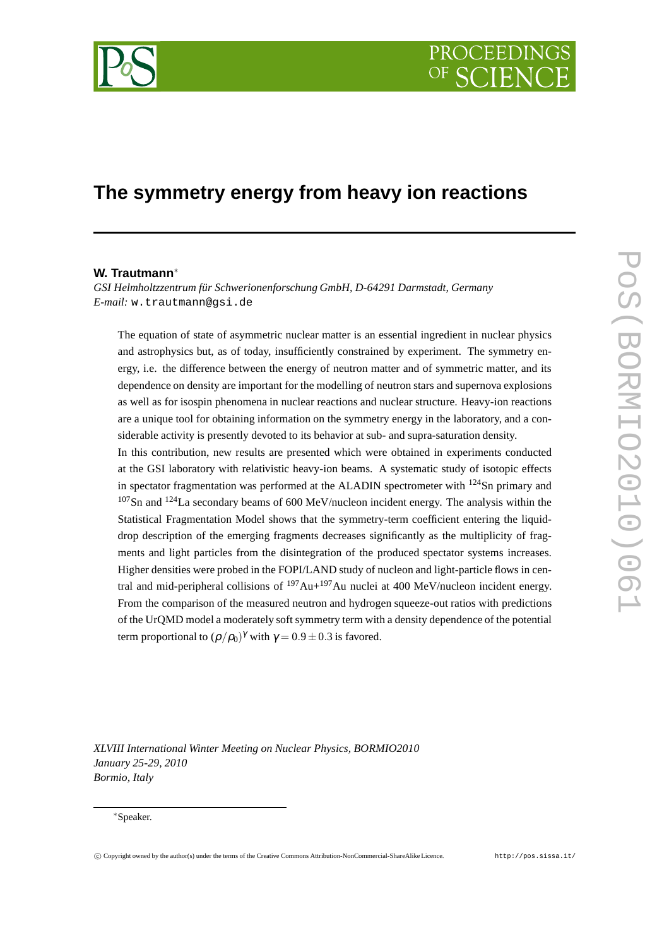

# **The symmetry energy from heavy ion reactions**

#### **W. Trautmann**<sup>∗</sup>

*GSI Helmholtzzentrum für Schwerionenforschung GmbH, D-64291 Darmstadt, Germany E-mail:* w.trautmann@gsi.de

The equation of state of asymmetric nuclear matter is an essential ingredient in nuclear physics and astrophysics but, as of today, insufficiently constrained by experiment. The symmetry energy, i.e. the difference between the energy of neutron matter and of symmetric matter, and its dependence on density are important for the modelling of neutron stars and supernova explosions as well as for isospin phenomena in nuclear reactions and nuclear structure. Heavy-ion reactions are a unique tool for obtaining information on the symmetry energy in the laboratory, and a considerable activity is presently devoted to its behavior at sub- and supra-saturation density.

In this contribution, new results are presented which were obtained in experiments conducted at the GSI laboratory with relativistic heavy-ion beams. A systematic study of isotopic effects in spectator fragmentation was performed at the ALADIN spectrometer with  $^{124}$ Sn primary and  $107$ Sn and  $124$ La secondary beams of 600 MeV/nucleon incident energy. The analysis within the Statistical Fragmentation Model shows that the symmetry-term coefficient entering the liquiddrop description of the emerging fragments decreases significantly as the multiplicity of fragments and light particles from the disintegration of the produced spectator systems increases. Higher densities were probed in the FOPI/LAND study of nucleon and light-particle flows in central and mid-peripheral collisions of  $197\text{Au}+197\text{Au}$  nuclei at 400 MeV/nucleon incident energy. From the comparison of the measured neutron and hydrogen squeeze-out ratios with predictions of the UrQMD model a moderately soft symmetry term with a density dependence of the potential term proportional to  $(\rho/\rho_0)^\gamma$  with  $\gamma = 0.9 \pm 0.3$  is favored.

*XLVIII International Winter Meeting on Nuclear Physics, BORMIO2010 January 25-29, 2010 Bormio, Italy*

#### <sup>∗</sup>Speaker.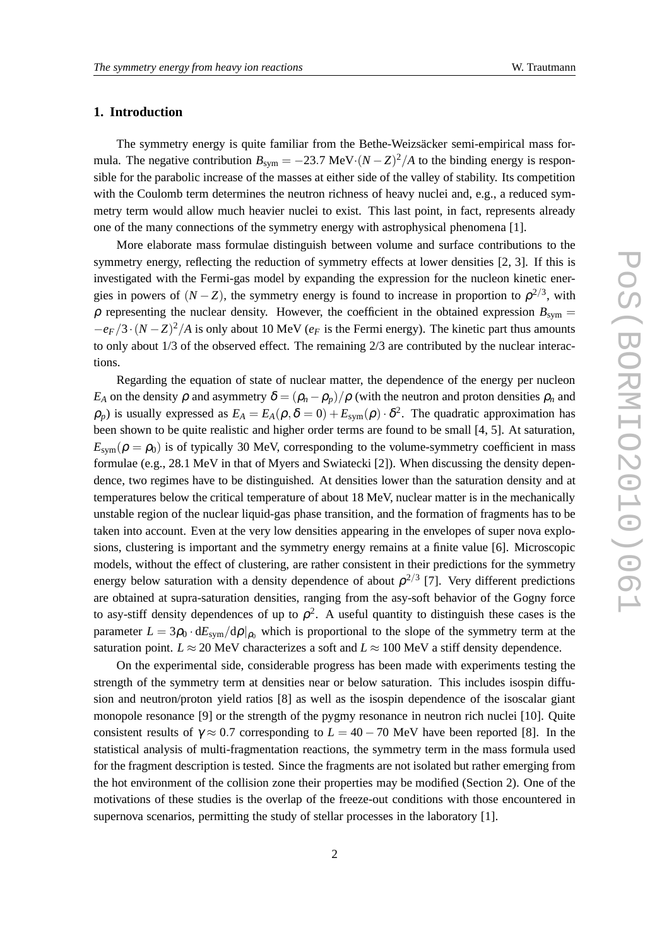### **1. Introduction**

The symmetry energy is quite familiar from the Bethe-Weizsäcker semi-empirical mass formula. The negative contribution  $B_{sym} = -23.7 \text{ MeV} \cdot (N - Z)^2/A$  to the binding energy is responsible for the parabolic increase of the masses at either side of the valley of stability. Its competition with the Coulomb term determines the neutron richness of heavy nuclei and, e.g., a reduced symmetry term would allow much heavier nuclei to exist. This last point, in fact, represents already one of the many connections of the symmetry energy with astrophysical phenomena [1].

More elaborate mass formulae distinguish between volume and surface contributions to the symmetry energy, reflecting the reduction of symmetry effects at lower densities [2, 3]. If this is investigated with the Fermi-gas model by expanding the expression for the nucleon kinetic energies in powers of  $(N - Z)$ , the symmetry energy is found to increase in proportion to  $\rho^{2/3}$ , with  $\rho$  representing the nuclear density. However, the coefficient in the obtained expression  $B_{sym}$  = −*e<sup>F</sup>* /3 ·(*N* −*Z*) <sup>2</sup>/*A* is only about 10 MeV (*e<sup>F</sup>* is the Fermi energy). The kinetic part thus amounts to only about 1/3 of the observed effect. The remaining 2/3 are contributed by the nuclear interactions.

Regarding the equation of state of nuclear matter, the dependence of the energy per nucleon *E<sub>A</sub>* on the density  $\rho$  and asymmetry  $\delta = (\rho_n - \rho_p)/\rho$  (with the neutron and proton densities  $\rho_n$  and  $(\rho_p)$  is usually expressed as  $E_A = E_A(\rho, \delta = 0) + E_{sym}(\rho) \cdot \delta^2$ . The quadratic approximation has been shown to be quite realistic and higher order terms are found to be small [4, 5]. At saturation,  $E_{sym}(\rho = \rho_0)$  is of typically 30 MeV, corresponding to the volume-symmetry coefficient in mass formulae (e.g., 28.1 MeV in that of Myers and Swiatecki [2]). When discussing the density dependence, two regimes have to be distinguished. At densities lower than the saturation density and at temperatures below the critical temperature of about 18 MeV, nuclear matter is in the mechanically unstable region of the nuclear liquid-gas phase transition, and the formation of fragments has to be taken into account. Even at the very low densities appearing in the envelopes of super nova explosions, clustering is important and the symmetry energy remains at a finite value [6]. Microscopic models, without the effect of clustering, are rather consistent in their predictions for the symmetry energy below saturation with a density dependence of about  $\rho^{2/3}$  [7]. Very different predictions are obtained at supra-saturation densities, ranging from the asy-soft behavior of the Gogny force to asy-stiff density dependences of up to  $\rho^2$ . A useful quantity to distinguish these cases is the parameter  $L = 3\rho_0 \cdot dE_{sym}/d\rho|_{\rho_0}$  which is proportional to the slope of the symmetry term at the saturation point.  $L \approx 20$  MeV characterizes a soft and  $L \approx 100$  MeV a stiff density dependence.

On the experimental side, considerable progress has been made with experiments testing the strength of the symmetry term at densities near or below saturation. This includes isospin diffusion and neutron/proton yield ratios [8] as well as the isospin dependence of the isoscalar giant monopole resonance [9] or the strength of the pygmy resonance in neutron rich nuclei [10]. Quite consistent results of  $\gamma \approx 0.7$  corresponding to  $L = 40 - 70$  MeV have been reported [8]. In the statistical analysis of multi-fragmentation reactions, the symmetry term in the mass formula used for the fragment description is tested. Since the fragments are not isolated but rather emerging from the hot environment of the collision zone their properties may be modified (Section 2). One of the motivations of these studies is the overlap of the freeze-out conditions with those encountered in supernova scenarios, permitting the study of stellar processes in the laboratory [1].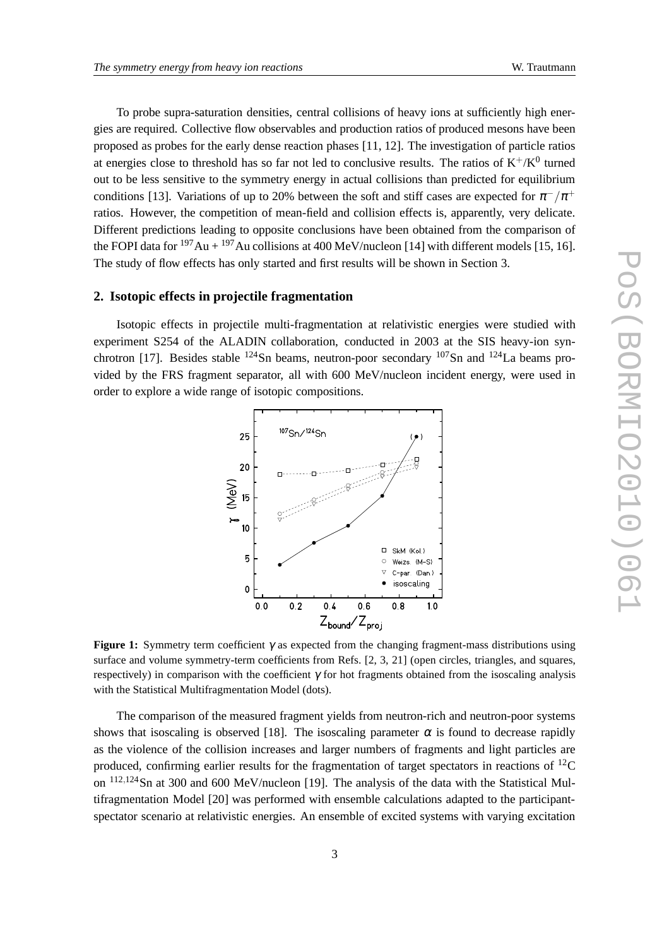To probe supra-saturation densities, central collisions of heavy ions at sufficiently high energies are required. Collective flow observables and production ratios of produced mesons have been proposed as probes for the early dense reaction phases [11, 12]. The investigation of particle ratios at energies close to threshold has so far not led to conclusive results. The ratios of  $K^+/K^0$  turned out to be less sensitive to the symmetry energy in actual collisions than predicted for equilibrium conditions [13]. Variations of up to 20% between the soft and stiff cases are expected for  $\pi^{-}/\pi^{+}$ ratios. However, the competition of mean-field and collision effects is, apparently, very delicate. Different predictions leading to opposite conclusions have been obtained from the comparison of the FOPI data for  $197\text{Au} + 197\text{Au}$  collisions at 400 MeV/nucleon [14] with different models [15, 16]. The study of flow effects has only started and first results will be shown in Section 3.

#### **2. Isotopic effects in projectile fragmentation**

Isotopic effects in projectile multi-fragmentation at relativistic energies were studied with experiment S254 of the ALADIN collaboration, conducted in 2003 at the SIS heavy-ion synchrotron [17]. Besides stable <sup>124</sup>Sn beams, neutron-poor secondary <sup>107</sup>Sn and <sup>124</sup>La beams provided by the FRS fragment separator, all with 600 MeV/nucleon incident energy, were used in order to explore a wide range of isotopic compositions.



**Figure 1:** Symmetry term coefficient γ as expected from the changing fragment-mass distributions using surface and volume symmetry-term coefficients from Refs. [2, 3, 21] (open circles, triangles, and squares, respectively) in comparison with the coefficient  $\gamma$  for hot fragments obtained from the isoscaling analysis with the Statistical Multifragmentation Model (dots).

The comparison of the measured fragment yields from neutron-rich and neutron-poor systems shows that isoscaling is observed [18]. The isoscaling parameter  $\alpha$  is found to decrease rapidly as the violence of the collision increases and larger numbers of fragments and light particles are produced, confirming earlier results for the fragmentation of target spectators in reactions of  $^{12}$ C on <sup>112</sup>,124Sn at 300 and 600 MeV/nucleon [19]. The analysis of the data with the Statistical Multifragmentation Model [20] was performed with ensemble calculations adapted to the participantspectator scenario at relativistic energies. An ensemble of excited systems with varying excitation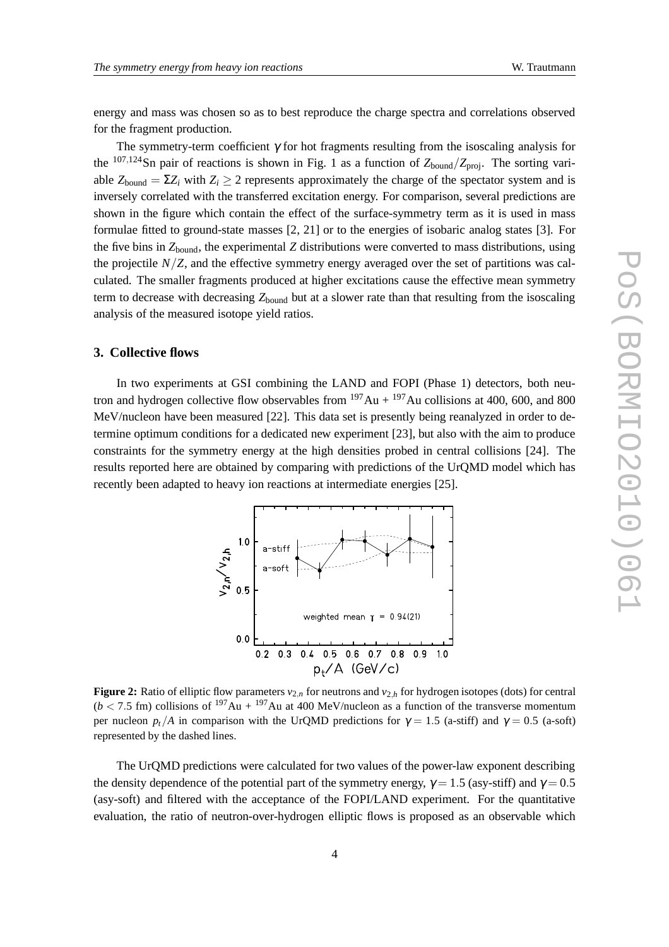energy and mass was chosen so as to best reproduce the charge spectra and correlations observed for the fragment production.

The symmetry-term coefficient  $\gamma$  for hot fragments resulting from the isoscaling analysis for the  $107,124$ Sn pair of reactions is shown in Fig. 1 as a function of  $Z_{\text{bound}}/Z_{\text{proj}}$ . The sorting variable  $Z_{bound} = \sum Z_i$  with  $Z_i \geq 2$  represents approximately the charge of the spectator system and is inversely correlated with the transferred excitation energy. For comparison, several predictions are shown in the figure which contain the effect of the surface-symmetry term as it is used in mass formulae fitted to ground-state masses [2, 21] or to the energies of isobaric analog states [3]. For the five bins in  $Z_{bound}$ , the experimental  $Z$  distributions were converted to mass distributions, using the projectile  $N/Z$ , and the effective symmetry energy averaged over the set of partitions was calculated. The smaller fragments produced at higher excitations cause the effective mean symmetry term to decrease with decreasing  $Z_{bound}$  but at a slower rate than that resulting from the isoscaling analysis of the measured isotope yield ratios.

## **3. Collective flows**

In two experiments at GSI combining the LAND and FOPI (Phase 1) detectors, both neutron and hydrogen collective flow observables from  $197\text{Au} + 197\text{Au}$  collisions at 400, 600, and 800 MeV/nucleon have been measured [22]. This data set is presently being reanalyzed in order to determine optimum conditions for a dedicated new experiment [23], but also with the aim to produce constraints for the symmetry energy at the high densities probed in central collisions [24]. The results reported here are obtained by comparing with predictions of the UrQMD model which has recently been adapted to heavy ion reactions at intermediate energies [25].



**Figure 2:** Ratio of elliptic flow parameters  $v_{2,n}$  for neutrons and  $v_{2,h}$  for hydrogen isotopes (dots) for central  $(b < 7.5$  fm) collisions of <sup>197</sup>Au + <sup>197</sup>Au at 400 MeV/nucleon as a function of the transverse momentum per nucleon  $p_t/A$  in comparison with the UrQMD predictions for  $\gamma = 1.5$  (a-stiff) and  $\gamma = 0.5$  (a-soft) represented by the dashed lines.

The UrQMD predictions were calculated for two values of the power-law exponent describing the density dependence of the potential part of the symmetry energy,  $\gamma = 1.5$  (asy-stiff) and  $\gamma = 0.5$ (asy-soft) and filtered with the acceptance of the FOPI/LAND experiment. For the quantitative evaluation, the ratio of neutron-over-hydrogen elliptic flows is proposed as an observable which